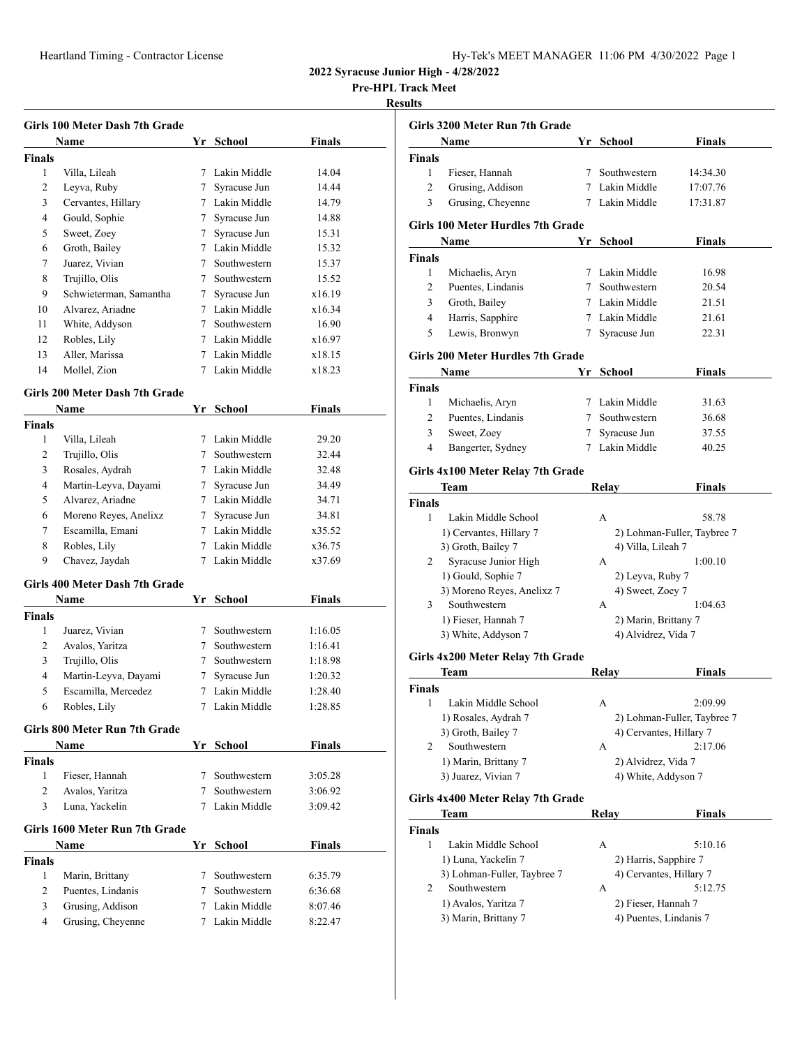**Pre-HPL Track Meet**

# **Results**

 $\sim$ 

| Girls 100 Meter Dash 7th Grade |                                       |                 |                |               |  |
|--------------------------------|---------------------------------------|-----------------|----------------|---------------|--|
|                                | Name                                  |                 | Yr School      | <b>Finals</b> |  |
| <b>Finals</b>                  |                                       |                 |                |               |  |
| 1                              | Villa, Lileah                         | $7^{\circ}$     | Lakin Middle   | 14.04         |  |
| 2                              | Leyva, Ruby                           | 7               | Syracuse Jun   | 14.44         |  |
| 3                              | Cervantes, Hillary                    |                 | 7 Lakin Middle | 14.79         |  |
| 4                              | Gould, Sophie                         | 7               | Syracuse Jun   | 14.88         |  |
| 5                              | Sweet, Zoey                           | 7               | Syracuse Jun   | 15.31         |  |
| 6                              | Groth, Bailey                         |                 | 7 Lakin Middle | 15.32         |  |
| 7                              | Juarez, Vivian                        | $\tau$          | Southwestern   | 15.37         |  |
| 8                              | Trujillo, Olis                        | 7               | Southwestern   | 15.52         |  |
| 9                              | Schwieterman, Samantha                | $7^{\circ}$     | Syracuse Jun   | x16.19        |  |
| 10                             | Alvarez, Ariadne                      | $7\phantom{.0}$ | Lakin Middle   | x16.34        |  |
| 11                             | White, Addyson                        | $7^{\circ}$     | Southwestern   | 16.90         |  |
| 12                             | Robles, Lily                          |                 | 7 Lakin Middle | x16.97        |  |
| 13                             | Aller, Marissa                        |                 | 7 Lakin Middle | x18.15        |  |
| 14                             | Mollel, Zion                          | 7               | Lakin Middle   | x18.23        |  |
|                                | <b>Girls 200 Meter Dash 7th Grade</b> |                 |                |               |  |
|                                | Name                                  |                 | Yr School      | <b>Finals</b> |  |
| <b>Finals</b>                  |                                       |                 |                |               |  |
| 1                              | Villa, Lileah                         |                 | 7 Lakin Middle | 29.20         |  |
| 2                              | Trujillo, Olis                        | $7^{\circ}$     | Southwestern   | 32.44         |  |
| 3                              | Rosales, Aydrah                       |                 | 7 Lakin Middle | 32.48         |  |
| 4                              | Martin-Leyva, Dayami                  | 7               | Syracuse Jun   | 34.49         |  |
| 5                              | Alvarez, Ariadne                      |                 | 7 Lakin Middle | 34.71         |  |
| 6                              | Moreno Reyes, Anelixz                 | 7               | Syracuse Jun   | 34.81         |  |
| 7                              | Escamilla, Emani                      |                 | 7 Lakin Middle | x35.52        |  |
| 8                              | Robles, Lily                          |                 | 7 Lakin Middle | x36.75        |  |
| 9                              | Chavez, Jaydah                        | 7               | Lakin Middle   | x37.69        |  |
|                                | Girls 400 Meter Dash 7th Grade        |                 |                |               |  |
|                                | Name                                  | Yr              | School         | Finals        |  |
| <b>Finals</b>                  |                                       |                 |                |               |  |
| 1                              | Juarez, Vivian                        | 7               | Southwestern   | 1:16.05       |  |
| 2                              | Avalos, Yaritza                       | 7               | Southwestern   | 1:16.41       |  |
| 3                              | Trujillo, Olis                        | 7               | Southwestern   | 1:18.98       |  |
| 4                              | Martin-Leyva, Dayami                  | 7               | Syracuse Jun   | 1:20.32       |  |
| 5                              | Escamilla, Mercedez                   |                 | 7 Lakin Middle | 1:28.40       |  |
| 6                              | Robles, Lily                          | 7               | Lakin Middle   | 1:28.85       |  |
|                                | Girls 800 Meter Run 7th Grade         |                 |                |               |  |
|                                |                                       |                 | Yr School      | Finals        |  |
|                                | Name                                  |                 |                |               |  |
| <b>Finals</b><br>1             | Fieser, Hannah                        | $7\phantom{.0}$ | Southwestern   | 3:05.28       |  |
| $\overline{2}$                 | Avalos, Yaritza                       | $7^{\circ}$     | Southwestern   | 3:06.92       |  |
| 3                              | Luna, Yackelin                        |                 | 7 Lakin Middle | 3:09.42       |  |
|                                |                                       |                 |                |               |  |
|                                | Girls 1600 Meter Run 7th Grade        |                 |                |               |  |
|                                | Name                                  |                 | Yr School      | <b>Finals</b> |  |
| <b>Finals</b>                  |                                       |                 |                |               |  |
| 1                              | Marin, Brittany                       | $\tau$          | Southwestern   | 6:35.79       |  |
| $\overline{c}$                 | Puentes, Lindanis                     | $7\phantom{.0}$ | Southwestern   | 6:36.68       |  |
| 3                              | Grusing, Addison                      |                 | 7 Lakin Middle | 8:07.46       |  |
| 4                              | Grusing, Cheyenne                     |                 | 7 Lakin Middle | 8:22.47       |  |

|                | Girls 3200 Meter Run 7th Grade                   |    |                                               |                             |
|----------------|--------------------------------------------------|----|-----------------------------------------------|-----------------------------|
|                | Name                                             |    | Yr School                                     | <b>Finals</b>               |
| <b>Finals</b>  |                                                  |    |                                               |                             |
| 1              | Fieser, Hannah                                   |    | 7 Southwestern                                | 14:34.30                    |
| $\overline{c}$ | Grusing, Addison                                 |    | 7 Lakin Middle                                | 17:07.76                    |
| 3              | Grusing, Cheyenne                                |    | 7 Lakin Middle                                | 17:31.87                    |
|                |                                                  |    |                                               |                             |
|                | <b>Girls 100 Meter Hurdles 7th Grade</b><br>Name | Yr | School                                        | Finals                      |
| Finals         |                                                  |    |                                               |                             |
| 1              | Michaelis, Aryn                                  |    | 7 Lakin Middle                                | 16.98                       |
| 2              | Puentes, Lindanis                                |    | 7 Southwestern                                | 20.54                       |
| 3              | Groth, Bailey                                    |    | 7 Lakin Middle                                | 21.51                       |
| 4              | Harris, Sapphire                                 |    | 7 Lakin Middle                                | 21.61                       |
| 5              | Lewis, Bronwyn                                   |    | 7 Syracuse Jun                                | 22.31                       |
|                |                                                  |    |                                               |                             |
|                | <b>Girls 200 Meter Hurdles 7th Grade</b>         |    |                                               |                             |
|                | Name                                             | Yr | School                                        | Finals                      |
| <b>Finals</b>  |                                                  |    |                                               |                             |
| 1              | Michaelis, Aryn                                  |    | 7 Lakin Middle                                | 31.63                       |
| $\overline{c}$ | Puentes, Lindanis                                |    | 7 Southwestern                                | 36.68                       |
| 3              | Sweet, Zoey                                      | 7  | Syracuse Jun<br>7 Lakin Middle                | 37.55                       |
| 4              | Bangerter, Sydney                                |    |                                               | 40.25                       |
|                | Girls 4x100 Meter Relay 7th Grade                |    |                                               |                             |
|                | Team                                             |    | Relay                                         | <b>Finals</b>               |
| <b>Finals</b>  |                                                  |    |                                               |                             |
| 1              | Lakin Middle School                              |    | А                                             | 58.78                       |
|                | 1) Cervantes, Hillary 7                          |    |                                               | 2) Lohman-Fuller, Taybree 7 |
|                | 3) Groth, Bailey 7                               |    | 4) Villa, Lileah 7                            |                             |
| 2              | Syracuse Junior High                             |    | A                                             | 1:00.10                     |
|                | 1) Gould, Sophie 7                               |    | 2) Leyva, Ruby 7                              |                             |
|                | 3) Moreno Reyes, Anelixz 7                       |    | 4) Sweet, Zoey 7                              |                             |
| 3              | Southwestern                                     |    | А                                             | 1:04.63                     |
|                | 1) Fieser, Hannah 7                              |    | 2) Marin, Brittany 7                          |                             |
|                | 3) White, Addyson 7                              |    | 4) Alvidrez, Vida 7                           |                             |
|                | Girls 4x200 Meter Relay 7th Grade                |    |                                               |                             |
|                |                                                  |    |                                               |                             |
|                | Team                                             |    | Relay                                         | Finals                      |
| <b>Finals</b>  |                                                  |    |                                               |                             |
| 1              | Lakin Middle School                              |    | А                                             | 2:09.99                     |
|                | 1) Rosales, Aydrah 7                             |    |                                               | 2) Lohman-Fuller, Taybree 7 |
|                | 3) Groth, Bailey 7                               |    | 4) Cervantes, Hillary 7                       |                             |
| 2              | Southwestern                                     |    | А                                             | 2:17.06                     |
|                | 1) Marin, Brittany 7                             |    | 2) Alvidrez, Vida 7                           |                             |
|                | 3) Juarez, Vivian 7                              |    | 4) White, Addyson 7                           |                             |
|                | Girls 4x400 Meter Relay 7th Grade                |    |                                               |                             |
|                | Team                                             |    | Relay                                         | Finals                      |
| <b>Finals</b>  |                                                  |    |                                               |                             |
| 1              | Lakin Middle School                              |    | А                                             | 5:10.16                     |
|                | 1) Luna, Yackelin 7                              |    | 2) Harris, Sapphire 7                         |                             |
|                | 3) Lohman-Fuller, Taybree 7                      |    | 4) Cervantes, Hillary 7                       |                             |
| 2              | Southwestern                                     |    | А                                             | 5:12.75                     |
|                | 1) Avalos, Yaritza 7<br>3) Marin, Brittany 7     |    | 2) Fieser, Hannah 7<br>4) Puentes, Lindanis 7 |                             |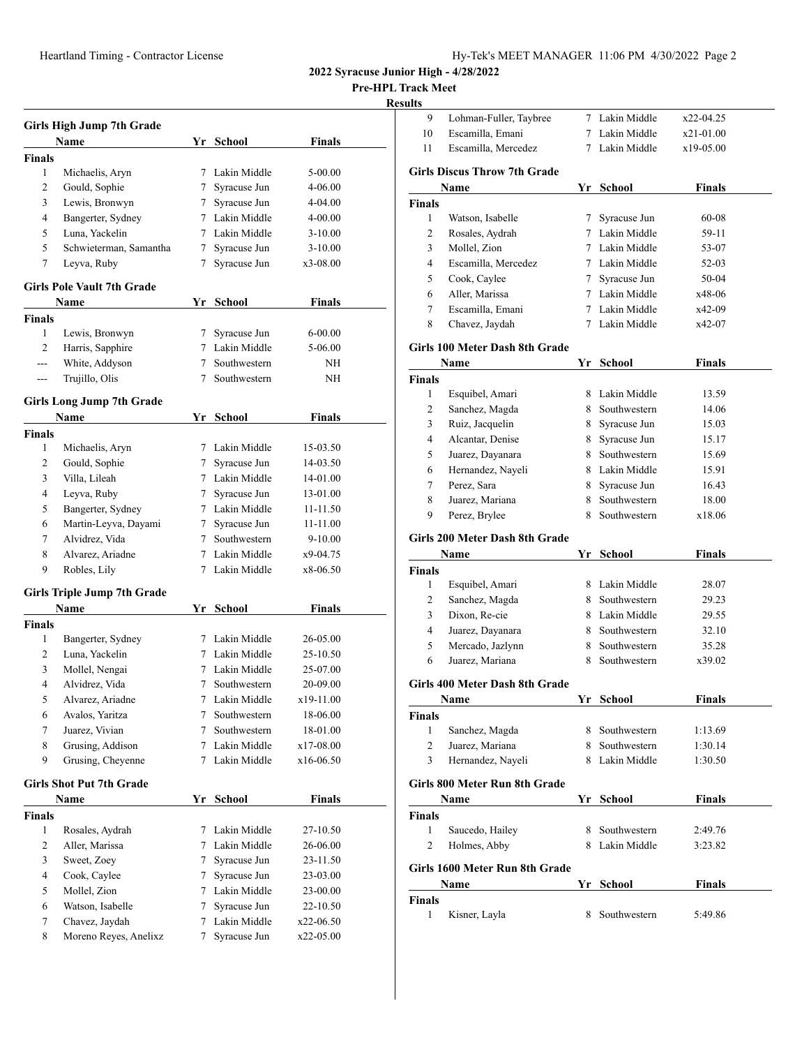**Pre-HPL Track Meet**

# **Results**

| <b>Girls High Jump 7th Grade</b> |                                    |                 |                |               |  |
|----------------------------------|------------------------------------|-----------------|----------------|---------------|--|
|                                  | Name                               |                 | Yr School      | Finals        |  |
| Finals                           |                                    |                 |                |               |  |
| 1                                | Michaelis, Aryn                    | 7               | Lakin Middle   | 5-00.00       |  |
| 2                                | Gould, Sophie                      | $7\phantom{.0}$ | Syracuse Jun   | 4-06.00       |  |
| 3                                | Lewis, Bronwyn                     | 7               | Syracuse Jun   | 4-04.00       |  |
| 4                                | Bangerter, Sydney                  |                 | 7 Lakin Middle | 4-00.00       |  |
| 5                                | Luna, Yackelin                     |                 | 7 Lakin Middle | $3 - 10.00$   |  |
| 5                                | Schwieterman, Samantha             |                 | 7 Syracuse Jun | $3 - 10.00$   |  |
| 7                                | Leyva, Ruby                        | 7               | Syracuse Jun   | x3-08.00      |  |
|                                  | <b>Girls Pole Vault 7th Grade</b>  |                 |                |               |  |
|                                  | Name                               |                 | Yr School      | Finals        |  |
| <b>Finals</b>                    |                                    |                 |                |               |  |
| 1                                | Lewis, Bronwyn                     | 7               | Syracuse Jun   | 6-00.00       |  |
| $\overline{2}$                   | Harris, Sapphire                   |                 | 7 Lakin Middle | 5-06.00       |  |
| ---                              | White, Addyson                     |                 | 7 Southwestern | ΝH            |  |
| ---                              | Trujillo, Olis                     | 7               | Southwestern   | ΝH            |  |
|                                  |                                    |                 |                |               |  |
|                                  | <b>Girls Long Jump 7th Grade</b>   |                 |                |               |  |
|                                  | Name                               |                 | Yr School      | <b>Finals</b> |  |
| <b>Finals</b>                    |                                    |                 |                |               |  |
| 1                                | Michaelis, Aryn                    |                 | 7 Lakin Middle | 15-03.50      |  |
| 2                                | Gould, Sophie                      | 7               | Syracuse Jun   | 14-03.50      |  |
| 3                                | Villa, Lileah                      |                 | 7 Lakin Middle | 14-01.00      |  |
| 4                                | Leyva, Ruby                        |                 | 7 Syracuse Jun | 13-01.00      |  |
| 5                                | Bangerter, Sydney                  |                 | 7 Lakin Middle | 11-11.50      |  |
| 6                                | Martin-Leyva, Dayami               |                 | 7 Syracuse Jun | 11-11.00      |  |
| 7                                | Alvidrez, Vida                     |                 | 7 Southwestern | 9-10.00       |  |
| 8                                | Alvarez, Ariadne                   |                 | 7 Lakin Middle | x9-04.75      |  |
| 9                                | Robles, Lily                       |                 | 7 Lakin Middle | x8-06.50      |  |
|                                  | <b>Girls Triple Jump 7th Grade</b> |                 |                |               |  |
|                                  | Name                               | Yr              | <b>School</b>  | <b>Finals</b> |  |
| <b>Finals</b>                    |                                    |                 |                |               |  |
| 1                                | Bangerter, Sydney                  |                 | 7 Lakin Middle | 26-05.00      |  |
| 2                                | Luna, Yackelin                     |                 | 7 Lakin Middle | 25-10.50      |  |
| 3                                | Mollel, Nengai                     |                 | 7 Lakin Middle | 25-07.00      |  |
| 4                                | Alvidrez, Vida                     | 7               | Southwestern   | 20-09.00      |  |
| 5                                | Alvarez, Ariadne                   | 7               | Lakin Middle   | x19-11.00     |  |
| 6                                | Avalos, Yaritza                    | 7               | Southwestern   | 18-06.00      |  |
| 7                                | Juarez, Vivian                     | 7               | Southwestern   | 18-01.00      |  |
| 8                                | Grusing, Addison                   | 7               | Lakin Middle   | x17-08.00     |  |
| 9                                | Grusing, Cheyenne                  | 7               | Lakin Middle   | x16-06.50     |  |
|                                  |                                    |                 |                |               |  |
|                                  | <b>Girls Shot Put 7th Grade</b>    |                 |                |               |  |
|                                  | Name                               |                 | Yr School      | <b>Finals</b> |  |
| <b>Finals</b>                    |                                    |                 |                |               |  |
| 1                                | Rosales, Aydrah                    | 7               | Lakin Middle   | 27-10.50      |  |
| 2                                | Aller, Marissa                     | $7^{\circ}$     | Lakin Middle   | 26-06.00      |  |
| 3                                | Sweet, Zoey                        | 7               | Syracuse Jun   | 23-11.50      |  |
| $\overline{4}$                   | Cook, Caylee                       | 7               | Syracuse Jun   | 23-03.00      |  |
| 5                                | Mollel, Zion                       |                 | 7 Lakin Middle | 23-00.00      |  |
| 6                                | Watson, Isabelle                   | 7               | Syracuse Jun   | 22-10.50      |  |
| 7                                | Chavez, Jaydah                     | 7               | Lakin Middle   | x22-06.50     |  |
| 8                                | Moreno Reyes, Anelixz              | 7               | Syracuse Jun   | x22-05.00     |  |

| 9              | Lohman-Fuller, Taybree               | 7  | Lakin Middle                     | x22-04.25          |  |
|----------------|--------------------------------------|----|----------------------------------|--------------------|--|
| 10             | Escamilla, Emani                     | 7  | Lakin Middle                     | x21-01.00          |  |
| 11             | Escamilla, Mercedez                  | 7  | Lakin Middle                     | x19-05.00          |  |
|                | <b>Girls Discus Throw 7th Grade</b>  |    |                                  |                    |  |
|                | Name                                 |    | Yr School                        | <b>Finals</b>      |  |
| Finals         |                                      |    |                                  |                    |  |
| 1              | Watson, Isabelle                     | 7  | Syracuse Jun                     | 60-08              |  |
| 2              | Rosales, Aydrah                      |    | 7 Lakin Middle                   | 59-11              |  |
| 3              | Mollel, Zion                         |    | 7 Lakin Middle                   | 53-07              |  |
| 4              | Escamilla, Mercedez                  |    | 7 Lakin Middle                   | 52-03              |  |
| 5              | Cook, Caylee                         |    | 7 Syracuse Jun                   | 50-04              |  |
| 6              | Aller, Marissa                       |    | 7 Lakin Middle                   | x48-06             |  |
| 7              | Escamilla, Emani                     |    | 7 Lakin Middle                   | x42-09             |  |
| 8              | Chavez, Jaydah                       | 7  | Lakin Middle                     | x42-07             |  |
|                | Girls 100 Meter Dash 8th Grade       |    |                                  |                    |  |
|                | Name                                 | Yr | School                           | Finals             |  |
| Finals         |                                      |    |                                  |                    |  |
| 1              | Esquibel, Amari                      |    | 8 Lakin Middle                   | 13.59              |  |
| 2              | Sanchez, Magda                       |    | 8 Southwestern                   | 14.06              |  |
| 3              | Ruiz, Jacquelin                      |    | 8 Syracuse Jun                   | 15.03              |  |
| 4              | Alcantar, Denise                     |    | 8 Syracuse Jun                   | 15.17              |  |
| 5              | Juarez, Dayanara                     |    | 8 Southwestern                   | 15.69              |  |
| 6              | Hernandez, Nayeli                    |    | 8 Lakin Middle                   | 15.91              |  |
| 7              | Perez. Sara                          |    | 8 Syracuse Jun                   | 16.43              |  |
| 8              | Juarez, Mariana                      | 8  | Southwestern                     | 18.00              |  |
| 9              | Perez, Brylee                        | 8  | Southwestern                     | x18.06             |  |
|                | Girls 200 Meter Dash 8th Grade       |    |                                  |                    |  |
|                |                                      |    | Yr School                        | Finals             |  |
|                |                                      |    |                                  |                    |  |
|                | Name                                 |    |                                  |                    |  |
| Finals<br>1    |                                      |    | 8 Lakin Middle                   | 28.07              |  |
|                | Esquibel, Amari                      |    | 8 Southwestern                   |                    |  |
| 2<br>3         | Sanchez, Magda<br>Dixon, Re-cie      |    |                                  | 29.23              |  |
| 4              |                                      |    | 8 Lakin Middle<br>8 Southwestern | 29.55              |  |
| 5              | Juarez, Dayanara                     |    | 8 Southwestern                   | 32.10              |  |
| 6              | Mercado, Jazlynn                     |    | 8 Southwestern                   | 35.28<br>x39.02    |  |
|                | Juarez, Mariana                      |    |                                  |                    |  |
|                | Girls 400 Meter Dash 8th Grade       |    |                                  |                    |  |
|                | Name                                 | Yr | School                           | <b>Finals</b>      |  |
| Finals<br>1    |                                      |    | 8 Southwestern                   | 1:13.69            |  |
| $\overline{2}$ | Sanchez, Magda                       |    |                                  |                    |  |
| 3              | Juarez, Mariana<br>Hernandez, Nayeli |    | 8 Southwestern<br>8 Lakin Middle | 1:30.14<br>1:30.50 |  |
|                | Girls 800 Meter Run 8th Grade        |    |                                  |                    |  |
|                | Name                                 | Yr | School                           | Finals             |  |
| Finals         |                                      |    |                                  |                    |  |
| 1              |                                      | 8  | Southwestern                     | 2:49.76            |  |
| 2              | Saucedo, Hailey<br>Holmes, Abby      |    | 8 Lakin Middle                   | 3:23.82            |  |
|                |                                      |    |                                  |                    |  |
|                | Girls 1600 Meter Run 8th Grade       |    |                                  |                    |  |
|                | Name                                 |    | Yr School                        | Finals             |  |
| Finals<br>1    | Kisner, Layla                        | 8  | Southwestern                     | 5:49.86            |  |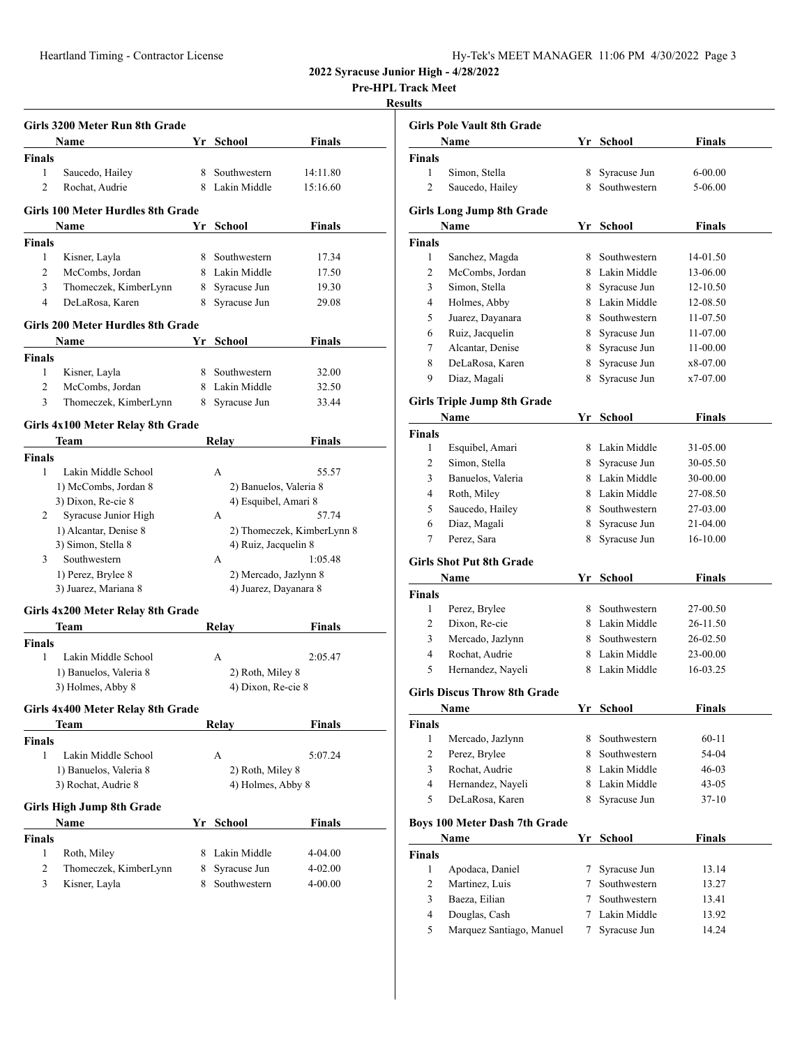**Pre-HPL Track Meet**

# **Result**

|                | Girls 3200 Meter Run 8th Grade           |    |                        |                            |
|----------------|------------------------------------------|----|------------------------|----------------------------|
|                | Name                                     |    | Yr School              | <b>Finals</b>              |
| <b>Finals</b>  |                                          |    |                        |                            |
| 1              | Saucedo, Hailey                          | 8. | Southwestern           | 14:11.80                   |
| $\overline{c}$ | Rochat, Audrie                           |    | 8 Lakin Middle         | 15:16.60                   |
|                | <b>Girls 100 Meter Hurdles 8th Grade</b> |    |                        |                            |
|                | Name                                     | Yr | School                 | Finals                     |
| <b>Finals</b>  |                                          |    |                        |                            |
| 1              | Kisner, Layla                            |    | 8 Southwestern         | 17.34                      |
| 2              | McCombs. Jordan                          |    | 8 Lakin Middle         | 17.50                      |
| 3              | Thomeczek, KimberLynn                    |    | 8 Syracuse Jun         | 19.30                      |
| 4              | DeLaRosa, Karen                          | 8  | Syracuse Jun           | 29.08                      |
|                | Girls 200 Meter Hurdles 8th Grade        |    |                        |                            |
|                | <b>Name</b>                              | Yr | School                 | Finals                     |
| <b>Finals</b>  |                                          |    |                        |                            |
| 1              | Kisner, Layla                            | 8  | Southwestern           | 32.00                      |
| 2              | McCombs, Jordan                          |    | 8 Lakin Middle         | 32.50                      |
| 3              | Thomeczek, KimberLynn                    |    | 8 Syracuse Jun         | 33.44                      |
|                | Girls 4x100 Meter Relay 8th Grade        |    |                        |                            |
|                | Team                                     |    | Relay                  | Finals                     |
| <b>Finals</b>  |                                          |    |                        |                            |
| 1              | Lakin Middle School                      |    | A                      | 55.57                      |
|                | 1) McCombs, Jordan 8                     |    | 2) Banuelos, Valeria 8 |                            |
|                | 3) Dixon, Re-cie 8                       |    | 4) Esquibel, Amari 8   |                            |
| 2              | Syracuse Junior High                     |    | A                      | 57.74                      |
|                | 1) Alcantar, Denise 8                    |    |                        | 2) Thomeczek, KimberLynn 8 |
|                | 3) Simon, Stella 8                       |    | 4) Ruiz, Jacquelin 8   |                            |
| 3              | Southwestern                             |    | A                      | 1:05.48                    |
|                | 1) Perez, Brylee 8                       |    | 2) Mercado, Jazlynn 8  |                            |
|                | 3) Juarez, Mariana 8                     |    | 4) Juarez, Dayanara 8  |                            |
|                | Girls 4x200 Meter Relay 8th Grade        |    |                        |                            |
|                | Team                                     |    | Relay                  | Finals                     |
| <b>Finals</b>  |                                          |    |                        |                            |
| 1              | Lakin Middle School                      |    | A                      | 2:05.47                    |
|                | 1) Banuelos, Valeria 8                   |    | 2) Roth, Miley 8       |                            |
|                | 3) Holmes, Abby 8                        |    | 4) Dixon, Re-cie 8     |                            |
|                | Girls 4x400 Meter Relay 8th Grade        |    |                        |                            |
|                | Team                                     |    | <b>Relay</b>           | Finals                     |
| <b>Finals</b>  |                                          |    |                        |                            |
| 1              | Lakin Middle School                      |    | A                      | 5:07.24                    |
|                | 1) Banuelos, Valeria 8                   |    | 2) Roth, Miley 8       |                            |
|                | 3) Rochat, Audrie 8                      |    | 4) Holmes, Abby 8      |                            |
|                | <b>Girls High Jump 8th Grade</b>         |    |                        |                            |
|                | Name                                     |    | Yr School              | <b>Finals</b>              |
| <b>Finals</b>  |                                          |    |                        |                            |
| 1              | Roth, Miley                              |    | 8 Lakin Middle         | 4-04.00                    |
| 2              | Thomeczek, KimberLynn                    | 8  | Syracuse Jun           | 4-02.00                    |
| 3              | Kisner, Layla                            | 8. | Southwestern           | 4-00.00                    |
|                |                                          |    |                        |                            |

|                | <b>Girls Pole Vault 8th Grade</b>    |    |                |               |
|----------------|--------------------------------------|----|----------------|---------------|
|                | Name                                 |    | Yr School      | Finals        |
| <b>Finals</b>  |                                      |    |                |               |
| 1              | Simon, Stella                        | 8. | Syracuse Jun   | 6-00.00       |
| $\overline{c}$ | Saucedo, Hailey                      |    | 8 Southwestern | 5-06.00       |
|                | <b>Girls Long Jump 8th Grade</b>     |    |                |               |
|                | Name                                 |    | Yr School      | <b>Finals</b> |
| <b>Finals</b>  |                                      |    |                |               |
| 1              | Sanchez, Magda                       |    | 8 Southwestern | 14-01.50      |
| 2              | McCombs, Jordan                      |    | 8 Lakin Middle | 13-06.00      |
| 3              | Simon, Stella                        | 8  | Syracuse Jun   | 12-10.50      |
| 4              | Holmes, Abby                         |    | 8 Lakin Middle | 12-08.50      |
| 5              | Juarez, Dayanara                     | 8  | Southwestern   | 11-07.50      |
| 6              | Ruiz, Jacquelin                      | 8  | Syracuse Jun   | 11-07.00      |
| 7              | Alcantar, Denise                     | 8  | Syracuse Jun   | 11-00.00      |
| 8              | DeLaRosa, Karen                      | 8  | Syracuse Jun   | x8-07.00      |
| 9              | Diaz, Magali                         | 8  | Syracuse Jun   | x7-07.00      |
|                | <b>Girls Triple Jump 8th Grade</b>   |    |                |               |
|                | Name                                 | Yr | School         | Finals        |
| <b>Finals</b>  |                                      |    |                |               |
| 1              | Esquibel, Amari                      |    | 8 Lakin Middle | 31-05.00      |
| 2              | Simon, Stella                        |    | 8 Syracuse Jun | 30-05.50      |
| 3              | Banuelos, Valeria                    |    | 8 Lakin Middle | 30-00.00      |
| 4              | Roth, Miley                          |    | 8 Lakin Middle | 27-08.50      |
| 5              | Saucedo, Hailey                      |    | 8 Southwestern | 27-03.00      |
| 6              | Diaz, Magali                         | 8. | Syracuse Jun   | 21-04.00      |
| 7              | Perez, Sara                          | 8. | Syracuse Jun   | 16-10.00      |
|                | <b>Girls Shot Put 8th Grade</b>      |    |                |               |
|                | Name                                 | Yr | School         | Finals        |
| <b>Finals</b>  |                                      |    |                |               |
| 1              | Perez, Brylee                        |    | 8 Southwestern | 27-00.50      |
| 2              | Dixon, Re-cie                        |    | 8 Lakin Middle | 26-11.50      |
| 3              | Mercado, Jazlynn                     |    | 8 Southwestern | 26-02.50      |
| 4              | Rochat, Audrie                       |    | 8 Lakin Middle | 23-00.00      |
| 5              | Hernandez, Nayeli                    |    | 8 Lakin Middle | 16-03.25      |
|                | <b>Girls Discus Throw 8th Grade</b>  |    |                |               |
|                | Name                                 |    | Yr School      | Finals        |
| <b>Finals</b>  |                                      |    |                |               |
| 1              | Mercado, Jazlynn                     | 8  | Southwestern   | $60 - 11$     |
| 2              | Perez, Brylee                        | 8  | Southwestern   | 54-04         |
| 3              | Rochat, Audrie                       |    | 8 Lakin Middle | 46-03         |
| 4              | Hernandez, Nayeli                    |    | 8 Lakin Middle | 43-05         |
| 5              | DeLaRosa, Karen                      | 8  | Syracuse Jun   | $37-10$       |
|                | <b>Boys 100 Meter Dash 7th Grade</b> |    |                |               |
|                | Name                                 |    | Yr School      | Finals        |
| <b>Finals</b>  |                                      |    |                |               |
| 1              | Apodaca, Daniel                      | 7  | Syracuse Jun   | 13.14         |
| 2              | Martinez, Luis                       | 7  | Southwestern   | 13.27         |
| 3              | Baeza, Eilian                        |    | 7 Southwestern | 13.41         |
| 4              | Douglas, Cash                        |    | 7 Lakin Middle | 13.92         |
|                |                                      |    |                |               |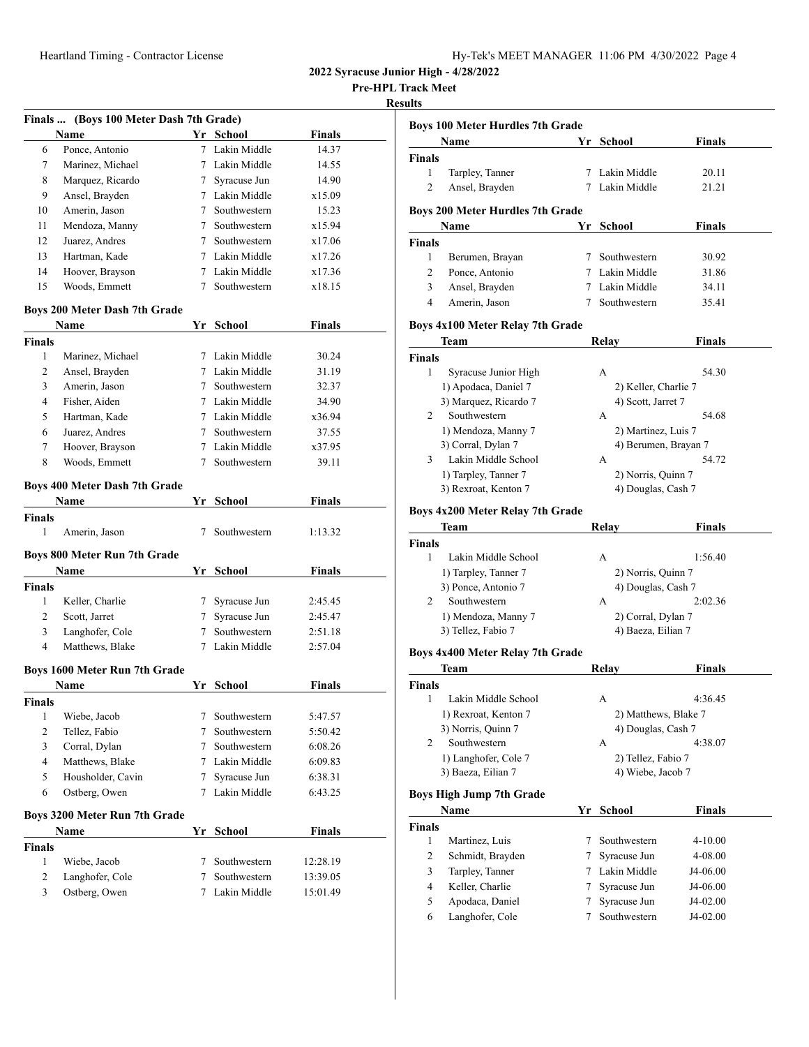| 41-12022 1-3022 11:06 3 4/30 1022 11:06 4 4/30 12022 1203 |  |  |  |
|-----------------------------------------------------------|--|--|--|
|-----------------------------------------------------------|--|--|--|

**Pre-HPL Track Meet**

# **Results**

| Finals  (Boys 100 Meter Dash 7th Grade) |                                      |        |                              |               |  |  |  |
|-----------------------------------------|--------------------------------------|--------|------------------------------|---------------|--|--|--|
|                                         | <b>Name</b>                          | Yr     | School                       | <b>Finals</b> |  |  |  |
| 6                                       | Ponce, Antonio                       | $\tau$ | Lakin Middle                 | 14.37         |  |  |  |
| 7                                       | Marinez, Michael                     |        | 7 Lakin Middle               | 14.55         |  |  |  |
| 8                                       | Marquez, Ricardo                     |        | 7 Syracuse Jun               | 14.90         |  |  |  |
| 9                                       | Ansel, Brayden                       |        | 7 Lakin Middle               | x15.09        |  |  |  |
| 10                                      | Amerin, Jason                        |        | 7 Southwestern               | 15.23         |  |  |  |
| 11                                      | Mendoza, Manny                       |        | 7 Southwestern               | x15.94        |  |  |  |
| 12                                      | Juarez, Andres                       |        | 7 Southwestern               | x17.06        |  |  |  |
| 13                                      | Hartman, Kade                        |        | 7 Lakin Middle               | x17.26        |  |  |  |
| 14                                      | Hoover, Brayson                      |        | 7 Lakin Middle               | x17.36        |  |  |  |
| 15                                      | Woods, Emmett                        | 7      | Southwestern                 | x18.15        |  |  |  |
| Boys 200 Meter Dash 7th Grade           |                                      |        |                              |               |  |  |  |
|                                         | Name                                 |        | Yr School                    | <b>Finals</b> |  |  |  |
| <b>Finals</b>                           |                                      |        |                              |               |  |  |  |
| 1                                       | Marinez, Michael                     |        | 7 Lakin Middle               | 30.24         |  |  |  |
| 2                                       | Ansel, Brayden                       |        | 7 Lakin Middle               | 31.19         |  |  |  |
| 3                                       | Amerin, Jason                        |        | 7 Southwestern               | 32.37         |  |  |  |
| 4                                       | Fisher, Aiden                        |        | 7 Lakin Middle               | 34.90         |  |  |  |
| 5                                       | Hartman, Kade                        |        | 7 Lakin Middle               | x36.94        |  |  |  |
| 6                                       | Juarez, Andres                       |        | 7 Southwestern               | 37.55         |  |  |  |
| 7                                       | Hoover, Brayson                      |        | 7 Lakin Middle               | x37.95        |  |  |  |
| 8                                       | Woods, Emmett                        | 7      | Southwestern                 | 39.11         |  |  |  |
|                                         |                                      |        |                              |               |  |  |  |
|                                         | Boys 400 Meter Dash 7th Grade        |        |                              |               |  |  |  |
|                                         | Name                                 |        | Yr School                    | Finals        |  |  |  |
| <b>Finals</b>                           |                                      |        |                              |               |  |  |  |
| 1                                       | Amerin, Jason                        | 7      | Southwestern                 | 1:13.32       |  |  |  |
|                                         | <b>Boys 800 Meter Run 7th Grade</b>  |        |                              |               |  |  |  |
|                                         | Name                                 |        | Yr School                    | <b>Finals</b> |  |  |  |
| <b>Finals</b>                           |                                      |        |                              |               |  |  |  |
| 1                                       | Keller, Charlie                      | 7      | Syracuse Jun                 | 2:45.45       |  |  |  |
| 2                                       | Scott, Jarret                        | 7      | Syracuse Jun                 | 2:45.47       |  |  |  |
| 3                                       | Langhofer, Cole                      |        | 7 Southwestern               | 2:51.18       |  |  |  |
| $\overline{4}$                          | Matthews, Blake                      | 7      | Lakin Middle                 | 2:57.04       |  |  |  |
|                                         |                                      |        |                              |               |  |  |  |
|                                         | <b>Boys 1600 Meter Run 7th Grade</b> |        |                              |               |  |  |  |
|                                         | Name                                 |        | Yr School                    | Finals        |  |  |  |
| Finals<br>1                             | Wiebe, Jacob                         | 7      | Southwestern                 | 5:47.57       |  |  |  |
| 2                                       | Tellez, Fabio                        | 7      | Southwestern                 | 5:50.42       |  |  |  |
| 3                                       | Corral, Dylan                        | 7      | Southwestern                 | 6:08.26       |  |  |  |
| 4                                       | Matthews, Blake                      |        | 7 Lakin Middle               | 6:09.83       |  |  |  |
|                                         |                                      |        |                              |               |  |  |  |
| 5                                       | Housholder, Cavin                    | 7      | Syracuse Jun<br>Lakin Middle | 6:38.31       |  |  |  |
| 6                                       | Ostberg, Owen                        | 7      |                              | 6:43.25       |  |  |  |
|                                         | Boys 3200 Meter Run 7th Grade        |        |                              |               |  |  |  |
|                                         | Name                                 | Yr     | School                       | <b>Finals</b> |  |  |  |
| Finals                                  |                                      |        |                              |               |  |  |  |
| 1                                       | Wiebe, Jacob                         | 7      | Southwestern                 | 12:28.19      |  |  |  |
| 2                                       | Langhofer, Cole                      | 7      | Southwestern                 | 13:39.05      |  |  |  |
| 3                                       | Ostberg, Owen                        | 7      | Lakin Middle                 | 15:01.49      |  |  |  |
|                                         |                                      |        |                              |               |  |  |  |

| <b>Boys 100 Meter Hurdles 7th Grade</b>       |    |                                            |               |  |  |
|-----------------------------------------------|----|--------------------------------------------|---------------|--|--|
| Name                                          |    | Yr School                                  | Finals        |  |  |
| Finals                                        |    |                                            |               |  |  |
| 1<br>Tarpley, Tanner                          | 7  | Lakin Middle                               | 20.11         |  |  |
| 2<br>Ansel, Brayden                           | 7  | Lakin Middle                               | 21.21         |  |  |
| <b>Boys 200 Meter Hurdles 7th Grade</b>       |    |                                            |               |  |  |
| Name                                          | Yr | School                                     | <b>Finals</b> |  |  |
| <b>Finals</b>                                 |    |                                            |               |  |  |
| 1<br>Berumen, Brayan                          |    | 7 Southwestern                             | 30.92         |  |  |
| 2<br>Ponce, Antonio                           |    | 7 Lakin Middle                             | 31.86         |  |  |
| 3<br>Ansel, Brayden                           |    | 7 Lakin Middle                             | 34.11         |  |  |
| $\overline{4}$<br>Amerin, Jason               | 7  | Southwestern                               | 35.41         |  |  |
|                                               |    |                                            |               |  |  |
| Boys 4x100 Meter Relay 7th Grade              |    |                                            |               |  |  |
| Team                                          |    | Relay                                      | Finals        |  |  |
| Finals<br>1                                   |    |                                            |               |  |  |
| Syracuse Junior High                          |    | А                                          | 54.30         |  |  |
| 1) Apodaca, Daniel 7<br>3) Marquez, Ricardo 7 |    | 2) Keller, Charlie 7<br>4) Scott, Jarret 7 |               |  |  |
| Southwestern<br>2                             |    | А                                          | 54.68         |  |  |
| 1) Mendoza, Manny 7                           |    | 2) Martinez, Luis 7                        |               |  |  |
| 3) Corral, Dylan 7                            |    | 4) Berumen, Brayan 7                       |               |  |  |
| Lakin Middle School<br>3                      |    | А                                          | 54.72         |  |  |
| 1) Tarpley, Tanner 7                          |    | 2) Norris, Quinn 7                         |               |  |  |
| 3) Rexroat, Kenton 7                          |    | 4) Douglas, Cash 7                         |               |  |  |
|                                               |    |                                            |               |  |  |
| Boys 4x200 Meter Relay 7th Grade              |    |                                            |               |  |  |
| Team                                          |    | Relay                                      | Finals        |  |  |
| <b>Finals</b><br>1<br>Lakin Middle School     |    | А                                          | 1:56.40       |  |  |
| 1) Tarpley, Tanner 7                          |    | 2) Norris, Quinn 7                         |               |  |  |
| 3) Ponce, Antonio 7                           |    | 4) Douglas, Cash 7                         |               |  |  |
| 2<br>Southwestern                             |    | А                                          | 2:02.36       |  |  |
| 1) Mendoza, Manny 7                           |    | 2) Corral, Dylan 7                         |               |  |  |
| 3) Tellez, Fabio 7                            |    | 4) Baeza, Eilian 7                         |               |  |  |
|                                               |    |                                            |               |  |  |
| Boys 4x400 Meter Relay 7th Grade              |    |                                            |               |  |  |
| Team                                          |    | Relay                                      | Finals        |  |  |
| Finals<br>1 Lakin Middle School               |    |                                            | 4:36.45       |  |  |
|                                               |    | А<br>2) Matthews, Blake 7                  |               |  |  |
| 1) Rexroat, Kenton 7<br>3) Norris, Quinn 7    |    |                                            |               |  |  |
| Southwestern<br>2                             |    | 4) Douglas, Cash 7<br>А                    | 4:38.07       |  |  |
| 1) Langhofer, Cole 7                          |    | 2) Tellez, Fabio 7                         |               |  |  |
| 3) Baeza, Eilian 7                            |    | 4) Wiebe, Jacob 7                          |               |  |  |
|                                               |    |                                            |               |  |  |
| <b>Boys High Jump 7th Grade</b>               |    |                                            |               |  |  |
| Name                                          | Yr | School                                     | <b>Finals</b> |  |  |
| <b>Finals</b>                                 |    |                                            |               |  |  |
| 1<br>Martinez, Luis                           | 7  | Southwestern                               | 4-10.00       |  |  |
| 2<br>Schmidt, Brayden                         | 7  | Syracuse Jun                               | 4-08.00       |  |  |
| 3<br>Tarpley, Tanner                          | 7  | Lakin Middle                               | J4-06.00      |  |  |
| Keller, Charlie<br>4                          | 7  | Syracuse Jun                               | J4-06.00      |  |  |
| Apodaca, Daniel<br>5                          | 7  | Syracuse Jun                               | J4-02.00      |  |  |
| 6<br>Langhofer, Cole                          | 7  | Southwestern                               | J4-02.00      |  |  |
|                                               |    |                                            |               |  |  |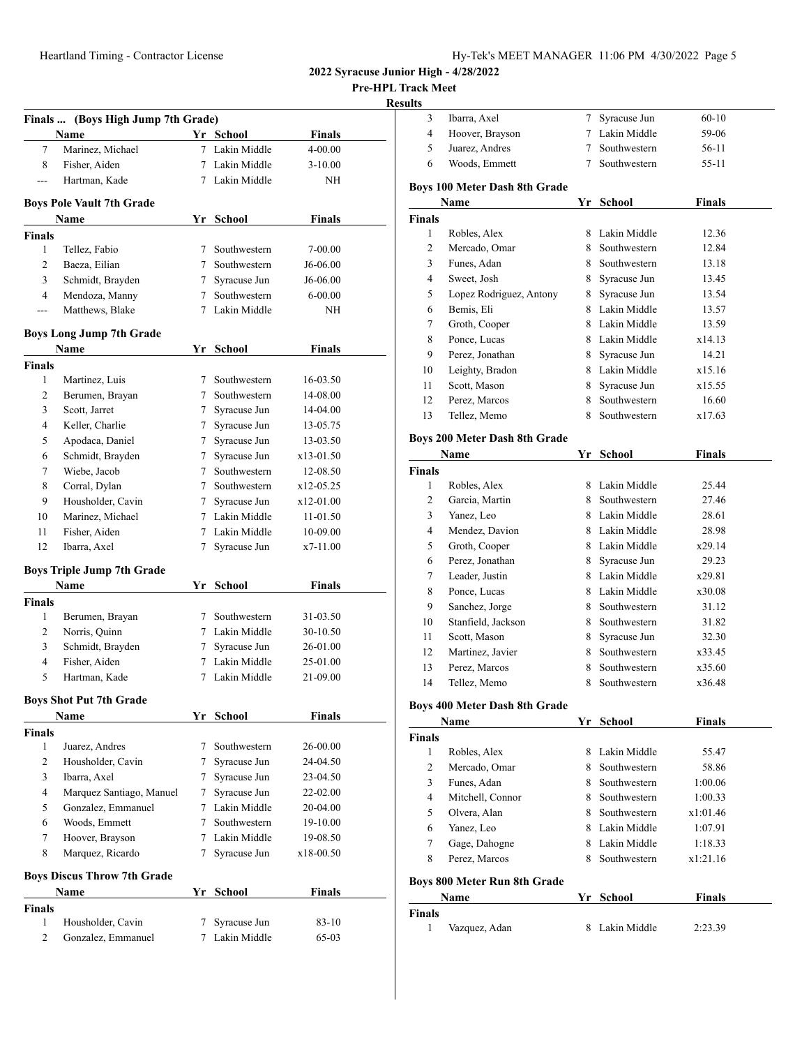**Pre-HPL Track Meet**

### **Resul**

| Finals  (Boys High Jump 7th Grade) |                                    |   |                |               |  |
|------------------------------------|------------------------------------|---|----------------|---------------|--|
|                                    | Name                               |   | Yr School      | <b>Finals</b> |  |
| 7                                  | Marinez, Michael                   |   | 7 Lakin Middle | 4-00.00       |  |
| 8                                  | Fisher, Aiden                      |   | 7 Lakin Middle | $3 - 10.00$   |  |
| ---                                | Hartman, Kade                      |   | 7 Lakin Middle | NΗ            |  |
|                                    | <b>Boys Pole Vault 7th Grade</b>   |   |                |               |  |
|                                    | Name                               |   | Yr School      | Finals        |  |
| <b>Finals</b>                      |                                    |   |                |               |  |
| $\mathbf{1}$                       | Tellez, Fabio                      |   | 7 Southwestern | 7-00.00       |  |
| $\overline{c}$                     | Baeza, Eilian                      |   | 7 Southwestern | J6-06.00      |  |
| 3                                  | Schmidt, Brayden                   |   | 7 Syracuse Jun | J6-06.00      |  |
| 4                                  | Mendoza, Manny                     |   | 7 Southwestern | 6-00.00       |  |
| ---                                | Matthews, Blake                    |   | 7 Lakin Middle | NH            |  |
|                                    | <b>Boys Long Jump 7th Grade</b>    |   |                |               |  |
|                                    | <b>Name</b>                        |   | Yr School      | Finals        |  |
| <b>Finals</b>                      |                                    |   |                |               |  |
| 1                                  | Martinez, Luis                     |   | 7 Southwestern | 16-03.50      |  |
| 2                                  | Berumen, Brayan                    |   | 7 Southwestern | 14-08.00      |  |
| 3                                  | Scott, Jarret                      |   | 7 Syracuse Jun | 14-04.00      |  |
| 4                                  | Keller, Charlie                    |   | 7 Syracuse Jun | 13-05.75      |  |
| 5                                  | Apodaca, Daniel                    |   | 7 Syracuse Jun | 13-03.50      |  |
| 6                                  | Schmidt, Brayden                   |   | 7 Syracuse Jun | $x13-01.50$   |  |
| 7                                  | Wiebe, Jacob                       |   | 7 Southwestern | 12-08.50      |  |
| 8                                  | Corral, Dylan                      |   | 7 Southwestern | x12-05.25     |  |
| 9                                  | Housholder, Cavin                  | 7 | Syracuse Jun   | x12-01.00     |  |
| 10                                 | Marinez, Michael                   |   | 7 Lakin Middle | 11-01.50      |  |
| 11                                 | Fisher, Aiden                      |   | 7 Lakin Middle | 10-09.00      |  |
| 12                                 | Ibarra, Axel                       | 7 | Syracuse Jun   | x7-11.00      |  |
|                                    | <b>Boys Triple Jump 7th Grade</b>  |   |                |               |  |
|                                    | <b>Name</b>                        |   | Yr School      | Finals        |  |
| <b>Finals</b>                      |                                    |   |                |               |  |
| 1                                  | Berumen, Brayan                    |   | 7 Southwestern | 31-03.50      |  |
| 2                                  | Norris, Quinn                      |   | 7 Lakin Middle | 30-10.50      |  |
| 3                                  | Schmidt, Brayden                   |   | 7 Syracuse Jun | 26-01.00      |  |
| $\overline{4}$                     | Fisher, Aiden                      |   | 7 Lakin Middle | 25-01.00      |  |
| 5                                  | Hartman, Kade                      |   | 7 Lakin Middle | 21-09.00      |  |
|                                    | <b>Boys Shot Put 7th Grade</b>     |   |                |               |  |
|                                    | Name                               |   | Yr School      | <b>Finals</b> |  |
| <b>Finals</b>                      |                                    |   |                |               |  |
| 1                                  | Juarez, Andres                     | 7 | Southwestern   | 26-00.00      |  |
| 2                                  | Housholder, Cavin                  | 7 | Syracuse Jun   | 24-04.50      |  |
| 3                                  | Ibarra, Axel                       | 7 | Syracuse Jun   | 23-04.50      |  |
| 4                                  | Marquez Santiago, Manuel           | 7 | Syracuse Jun   | 22-02.00      |  |
| 5                                  | Gonzalez, Emmanuel                 |   | 7 Lakin Middle | 20-04.00      |  |
| 6                                  | Woods, Emmett                      | 7 | Southwestern   | 19-10.00      |  |
| 7                                  | Hoover, Brayson                    |   | 7 Lakin Middle | 19-08.50      |  |
| 8                                  | Marquez, Ricardo                   | 7 | Syracuse Jun   | x18-00.50     |  |
|                                    | <b>Boys Discus Throw 7th Grade</b> |   |                |               |  |
|                                    | Name                               |   | Yr School      | <b>Finals</b> |  |
| <b>Finals</b>                      |                                    |   |                |               |  |
| 1                                  | Housholder, Cavin                  | 7 | Syracuse Jun   | 83-10         |  |
| 2                                  | Gonzalez, Emmanuel                 | 7 | Lakin Middle   | 65-03         |  |
|                                    |                                    |   |                |               |  |

| sults          |                                     |    |                |               |
|----------------|-------------------------------------|----|----------------|---------------|
| 3              | Ibarra, Axel                        | 7  | Syracuse Jun   | $60 - 10$     |
| 4              | Hoover, Brayson                     |    | 7 Lakin Middle | 59-06         |
| 5              | Juarez, Andres                      | 7  | Southwestern   | 56-11         |
| 6              | Woods, Emmett                       | 7  | Southwestern   | 55-11         |
|                | Boys 100 Meter Dash 8th Grade       |    |                |               |
|                | Name                                |    | Yr School      | <b>Finals</b> |
| <b>Finals</b>  |                                     |    |                |               |
| 1              | Robles, Alex                        |    | 8 Lakin Middle | 12.36         |
| $\overline{2}$ | Mercado, Omar                       | 8  | Southwestern   | 12.84         |
| 3              | Funes, Adan                         | 8  | Southwestern   | 13.18         |
| 4              | Sweet, Josh                         | 8  | Syracuse Jun   | 13.45         |
| 5              | Lopez Rodriguez, Antony             | 8  | Syracuse Jun   | 13.54         |
| 6              | Bemis, Eli                          |    | 8 Lakin Middle | 13.57         |
| 7              | Groth, Cooper                       |    | 8 Lakin Middle | 13.59         |
| 8              | Ponce, Lucas                        |    | 8 Lakin Middle | x14.13        |
| 9              | Perez, Jonathan                     |    | 8 Syracuse Jun | 14.21         |
| 10             | Leighty, Bradon                     |    | 8 Lakin Middle | x15.16        |
| 11             | Scott, Mason                        | 8  | Syracuse Jun   | x15.55        |
| 12             | Perez, Marcos                       | 8  | Southwestern   | 16.60         |
| 13             | Tellez, Memo                        | 8. | Southwestern   | x17.63        |
|                | Boys 200 Meter Dash 8th Grade       |    |                |               |
|                | Name                                |    | Yr School      | <b>Finals</b> |
| <b>Finals</b>  |                                     |    |                |               |
| 1              | Robles, Alex                        |    | 8 Lakin Middle | 25.44         |
| 2              | Garcia, Martin                      |    | 8 Southwestern | 27.46         |
| 3              | Yanez, Leo                          |    | 8 Lakin Middle | 28.61         |
| 4              | Mendez, Davion                      |    | 8 Lakin Middle | 28.98         |
| 5              | Groth, Cooper                       |    | 8 Lakin Middle | x29.14        |
| 6              | Perez, Jonathan                     |    | 8 Syracuse Jun | 29.23         |
| 7              | Leader, Justin                      |    | 8 Lakin Middle | x29.81        |
| 8              | Ponce, Lucas                        |    | 8 Lakin Middle | x30.08        |
| 9              | Sanchez, Jorge                      |    | 8 Southwestern | 31.12         |
| 10             | Stanfield, Jackson                  |    | 8 Southwestern | 31.82         |
| 11             | Scott, Mason                        | 8. | Syracuse Jun   | 32.30         |
| 12             | Martinez, Javier                    | 8. | Southwestern   | x33.45        |
| 13             | Perez, Marcos                       | 8. | Southwestern   | x35.60        |
| 14             | Tellez, Memo                        | 8  | Southwestern   | x36.48        |
|                | Boys 400 Meter Dash 8th Grade       |    |                |               |
|                | Name                                |    | Yr School      | <b>Finals</b> |
| <b>Finals</b>  |                                     |    |                |               |
| $\mathbf{1}$   | Robles, Alex                        |    | 8 Lakin Middle | 55.47         |
| $\overline{c}$ | Mercado, Omar                       |    | 8 Southwestern | 58.86         |
| 3              | Funes, Adan                         |    | 8 Southwestern | 1:00.06       |
| 4              | Mitchell, Connor                    |    | 8 Southwestern | 1:00.33       |
| 5              | Olvera, Alan                        |    | 8 Southwestern | x1:01.46      |
| 6              | Yanez, Leo                          |    | 8 Lakin Middle | 1:07.91       |
| 7              | Gage, Dahogne                       |    | 8 Lakin Middle | 1:18.33       |
| 8              | Perez, Marcos                       | 8  | Southwestern   | x1:21.16      |
|                | <b>Boys 800 Meter Run 8th Grade</b> |    |                |               |
|                | Name                                | Yr | School         | Finals        |
| <b>Finals</b>  |                                     |    |                |               |
| 1              | Vazquez, Adan                       | 8  | Lakin Middle   | 2:23.39       |
|                |                                     |    |                |               |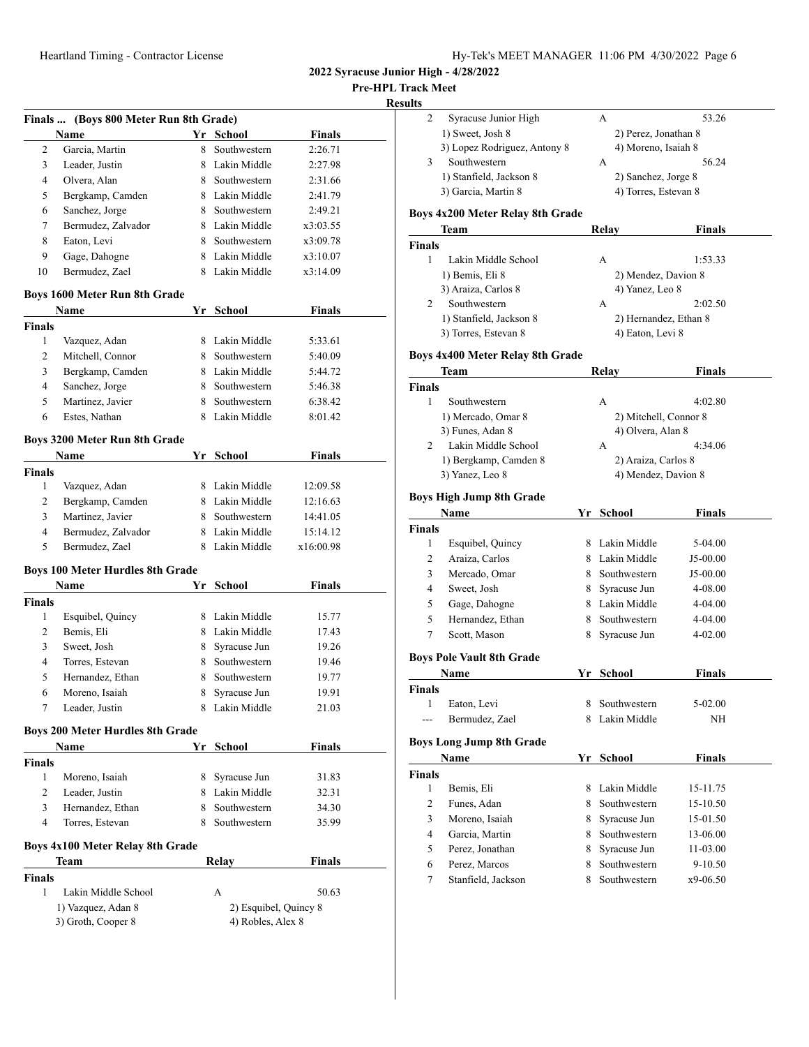**Pre-HPL Track Meet**

|--|

|                    | Finals  (Boys 800 Meter Run 8th Grade)    |    |                            |               |
|--------------------|-------------------------------------------|----|----------------------------|---------------|
|                    | Name                                      |    | Yr School                  | <b>Finals</b> |
| 2                  | Garcia, Martin                            | 8  | Southwestern               | 2:26.71       |
| 3                  | Leader, Justin                            |    | 8 Lakin Middle             | 2:27.98       |
| 4                  | Olvera, Alan                              |    | 8 Southwestern             | 2:31.66       |
| 5                  | Bergkamp, Camden                          |    | 8 Lakin Middle             | 2:41.79       |
| 6                  | Sanchez, Jorge                            |    | 8 Southwestern             | 2:49.21       |
| 7                  | Bermudez, Zalvador                        |    | 8 Lakin Middle             | x3:03.55      |
| 8                  | Eaton, Levi                               |    | 8 Southwestern             | x3:09.78      |
| 9                  | Gage, Dahogne                             |    | 8 Lakin Middle             | x3:10.07      |
| 10                 | Bermudez, Zael                            |    | 8 Lakin Middle             | x3:14.09      |
|                    | Boys 1600 Meter Run 8th Grade             |    |                            |               |
|                    | Name                                      | Yr | <b>School</b>              | <b>Finals</b> |
| <b>Finals</b>      |                                           |    |                            |               |
| 1                  | Vazquez, Adan                             |    | 8 Lakin Middle             | 5:33.61       |
| 2                  | Mitchell, Connor                          |    | 8 Southwestern             | 5:40.09       |
| 3                  | Bergkamp, Camden                          |    | 8 Lakin Middle             | 5:44.72       |
| 4                  | Sanchez, Jorge                            |    | 8 Southwestern             | 5:46.38       |
| 5                  | Martinez, Javier                          |    | 8 Southwestern             | 6:38.42       |
| 6                  | Estes, Nathan                             |    | 8 Lakin Middle             | 8:01.42       |
|                    | Boys 3200 Meter Run 8th Grade             |    |                            |               |
|                    | Name                                      |    | Yr School                  | <b>Finals</b> |
| <b>Finals</b>      |                                           |    |                            |               |
| 1                  | Vazquez, Adan                             |    | 8 Lakin Middle             | 12:09.58      |
| 2                  | Bergkamp, Camden                          |    | 8 Lakin Middle             | 12:16.63      |
| 3                  | Martinez, Javier                          |    | 8 Southwestern             | 14:41.05      |
| 4                  | Bermudez, Zalvador                        |    | 8 Lakin Middle             | 15:14.12      |
| 5                  | Bermudez, Zael                            | 8  | Lakin Middle               | x16:00.98     |
|                    |                                           |    |                            |               |
|                    | <b>Boys 100 Meter Hurdles 8th Grade</b>   |    |                            |               |
|                    | Name                                      | Yr | <b>School</b>              | <b>Finals</b> |
|                    |                                           |    |                            |               |
| 1                  | Esquibel, Quincy                          |    | 8 Lakin Middle             | 15.77         |
| 2                  | Bemis, Eli                                |    | 8 Lakin Middle             | 17.43         |
| 3                  | Sweet, Josh                               |    | 8 Syracuse Jun             | 19.26         |
| <b>Finals</b><br>4 | Torres, Estevan                           |    | 8 Southwestern             | 19.46         |
| 5                  | Hernandez, Ethan                          | 8. | Southwestern               | 19.77         |
| 6                  | Moreno, Isaiah                            | 8  | Syracuse Jun               | 19.91         |
| 7                  | Leader, Justin                            | 8  | Lakin Middle               | 21.03         |
|                    | <b>Boys 200 Meter Hurdles 8th Grade</b>   |    |                            |               |
|                    | Name                                      | Yr | School                     | Finals        |
| Finals             |                                           |    |                            |               |
| 1                  | Moreno, Isaiah                            |    | 8 Syracuse Jun             | 31.83         |
| 2                  | Leader, Justin                            |    | 8 Lakin Middle             | 32.31         |
| 3                  | Hernandez, Ethan                          |    | 8 Southwestern             | 34.30         |
| $\overline{4}$     | Torres, Estevan                           |    | 8 Southwestern             | 35.99         |
|                    | Boys 4x100 Meter Relay 8th Grade          |    |                            |               |
|                    | Team                                      |    | Relay                      | Finals        |
| <b>Finals</b>      |                                           |    |                            |               |
| 1                  | Lakin Middle School<br>1) Vazquez, Adan 8 |    | А<br>2) Esquibel, Quincy 8 | 50.63         |

|               | Syracuse Junior High                     |    | А                                | 53.26         |  |
|---------------|------------------------------------------|----|----------------------------------|---------------|--|
|               | 1) Sweet, Josh 8                         |    | 2) Perez, Jonathan 8             |               |  |
|               | 3) Lopez Rodriguez, Antony 8             |    | 4) Moreno, Isaiah 8              |               |  |
| 3             | Southwestern                             |    | А                                | 56.24         |  |
|               | 1) Stanfield, Jackson 8                  |    | 2) Sanchez, Jorge 8              |               |  |
|               | 3) Garcia, Martin 8                      |    | 4) Torres, Estevan 8             |               |  |
|               |                                          |    |                                  |               |  |
|               | Boys 4x200 Meter Relay 8th Grade         |    |                                  |               |  |
|               | Team                                     |    | Relay                            | Finals        |  |
| <b>Finals</b> |                                          |    |                                  |               |  |
| 1             | Lakin Middle School                      |    | A                                | 1:53.33       |  |
|               | 1) Bemis, Eli 8                          |    | 2) Mendez, Davion 8              |               |  |
|               | 3) Araiza, Carlos 8                      |    | 4) Yanez, Leo 8                  |               |  |
| 2             | Southwestern                             |    | A                                | 2:02.50       |  |
|               | 1) Stanfield, Jackson 8                  |    | 2) Hernandez, Ethan 8            |               |  |
|               | 3) Torres, Estevan 8                     |    | 4) Eaton, Levi 8                 |               |  |
|               | Boys 4x400 Meter Relay 8th Grade         |    |                                  |               |  |
|               | Team                                     |    | <b>Relay</b>                     | <b>Finals</b> |  |
| <b>Finals</b> |                                          |    |                                  |               |  |
| 1             | Southwestern                             |    | А                                | 4:02.80       |  |
|               | 1) Mercado, Omar 8                       |    | 2) Mitchell, Connor 8            |               |  |
|               | 3) Funes, Adan 8                         |    | 4) Olvera, Alan 8                |               |  |
| 2             | Lakin Middle School                      |    | А                                | 4:34.06       |  |
|               | 1) Bergkamp, Camden 8                    |    | 2) Araiza, Carlos 8              |               |  |
|               | 3) Yanez, Leo 8                          |    | 4) Mendez, Davion 8              |               |  |
|               |                                          |    |                                  |               |  |
|               | <b>Boys High Jump 8th Grade</b>          |    |                                  |               |  |
|               | Name                                     |    | Yr School                        | <b>Finals</b> |  |
| <b>Finals</b> |                                          |    |                                  |               |  |
| 1             | Esquibel, Quincy<br>Araiza, Carlos       |    | 8 Lakin Middle                   | 5-04.00       |  |
|               |                                          |    | 8 Lakin Middle                   | J5-00.00      |  |
| 2             |                                          |    |                                  |               |  |
| 3             | Mercado, Omar                            |    | 8 Southwestern                   | J5-00.00      |  |
| 4             | Sweet, Josh                              | 8. | Syracuse Jun                     | 4-08.00       |  |
| 5             | Gage, Dahogne                            |    | 8 Lakin Middle                   | 4-04.00       |  |
| 5             | Hernandez, Ethan                         | 8. | Southwestern                     | 4-04.00       |  |
| 7             | Scott, Mason                             | 8  | Syracuse Jun                     | 4-02.00       |  |
|               |                                          |    |                                  |               |  |
|               | <b>Boys Pole Vault 8th Grade</b><br>Name | Yr | <b>School</b>                    | Finals        |  |
| Finals        |                                          |    |                                  |               |  |
|               | 1 Eaton, Levi                            |    |                                  | 5-02.00       |  |
| ---           | Bermudez, Zael                           |    | 8 Southwestern<br>8 Lakin Middle | NH            |  |
|               |                                          |    |                                  |               |  |
|               | <b>Boys Long Jump 8th Grade</b>          |    |                                  |               |  |
|               | Name                                     | Yr | <b>School</b>                    | <b>Finals</b> |  |
| Finals        |                                          |    |                                  |               |  |
| 1             | Bemis, Eli                               | 8  | Lakin Middle                     | 15-11.75      |  |
| 2             | Funes, Adan                              | 8. | Southwestern                     | 15-10.50      |  |
| 3             | Moreno, Isaiah                           | 8. | Syracuse Jun                     | 15-01.50      |  |
| 4             | Garcia, Martin                           | 8. | Southwestern                     | 13-06.00      |  |
| 5             | Perez, Jonathan                          | 8. | Syracuse Jun                     | 11-03.00      |  |
| 6             | Perez, Marcos                            | 8. | Southwestern                     | 9-10.50       |  |
| 7             | Stanfield, Jackson                       | 8  | Southwestern                     | x9-06.50      |  |